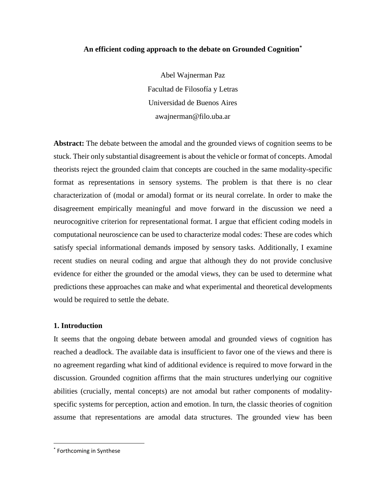## **An efficient coding approach to the debate on Grounded Cognition\***

Abel Wajnerman Paz Facultad de Filosofía y Letras Universidad de Buenos Aires awajnerman@filo.uba.ar

**Abstract:** The debate between the amodal and the grounded views of cognition seems to be stuck. Their only substantial disagreement is about the vehicle or format of concepts. Amodal theorists reject the grounded claim that concepts are couched in the same modality-specific format as representations in sensory systems. The problem is that there is no clear characterization of (modal or amodal) format or its neural correlate. In order to make the disagreement empirically meaningful and move forward in the discussion we need a neurocognitive criterion for representational format. I argue that efficient coding models in computational neuroscience can be used to characterize modal codes: These are codes which satisfy special informational demands imposed by sensory tasks. Additionally, I examine recent studies on neural coding and argue that although they do not provide conclusive evidence for either the grounded or the amodal views, they can be used to determine what predictions these approaches can make and what experimental and theoretical developments would be required to settle the debate.

# **1. Introduction**

It seems that the ongoing debate between amodal and grounded views of cognition has reached a deadlock. The available data is insufficient to favor one of the views and there is no agreement regarding what kind of additional evidence is required to move forward in the discussion. Grounded cognition affirms that the main structures underlying our cognitive abilities (crucially, mental concepts) are not amodal but rather components of modalityspecific systems for perception, action and emotion. In turn, the classic theories of cognition assume that representations are amodal data structures. The grounded view has been

 $\ddot{\phantom{a}}$ 

<sup>\*</sup> Forthcoming in Synthese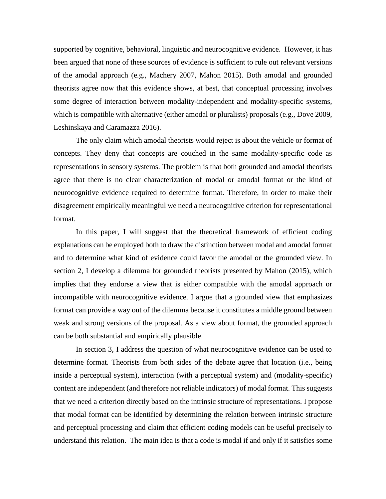supported by cognitive, behavioral, linguistic and neurocognitive evidence. However, it has been argued that none of these sources of evidence is sufficient to rule out relevant versions of the amodal approach (e.g., Machery 2007, Mahon 2015). Both amodal and grounded theorists agree now that this evidence shows, at best, that conceptual processing involves some degree of interaction between modality-independent and modality-specific systems, which is compatible with alternative (either amodal or pluralists) proposals (e.g., Dove 2009, Leshinskaya and Caramazza 2016).

The only claim which amodal theorists would reject is about the vehicle or format of concepts. They deny that concepts are couched in the same modality-specific code as representations in sensory systems. The problem is that both grounded and amodal theorists agree that there is no clear characterization of modal or amodal format or the kind of neurocognitive evidence required to determine format. Therefore, in order to make their disagreement empirically meaningful we need a neurocognitive criterion for representational format.

In this paper, I will suggest that the theoretical framework of efficient coding explanations can be employed both to draw the distinction between modal and amodal format and to determine what kind of evidence could favor the amodal or the grounded view. In section 2, I develop a dilemma for grounded theorists presented by Mahon (2015), which implies that they endorse a view that is either compatible with the amodal approach or incompatible with neurocognitive evidence. I argue that a grounded view that emphasizes format can provide a way out of the dilemma because it constitutes a middle ground between weak and strong versions of the proposal. As a view about format, the grounded approach can be both substantial and empirically plausible.

In section 3, I address the question of what neurocognitive evidence can be used to determine format. Theorists from both sides of the debate agree that location (i.e., being inside a perceptual system), interaction (with a perceptual system) and (modality-specific) content are independent (and therefore not reliable indicators) of modal format. This suggests that we need a criterion directly based on the intrinsic structure of representations. I propose that modal format can be identified by determining the relation between intrinsic structure and perceptual processing and claim that efficient coding models can be useful precisely to understand this relation. The main idea is that a code is modal if and only if it satisfies some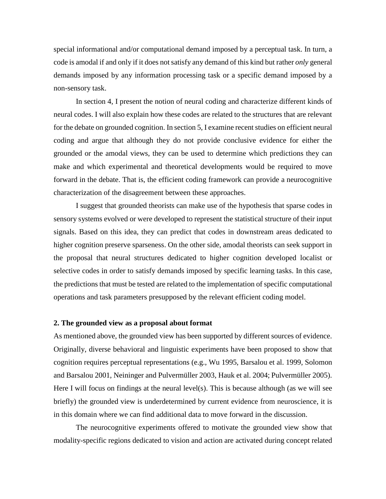special informational and/or computational demand imposed by a perceptual task. In turn, a code is amodal if and only if it does not satisfy any demand of this kind but rather *only* general demands imposed by any information processing task or a specific demand imposed by a non-sensory task.

In section 4, I present the notion of neural coding and characterize different kinds of neural codes. I will also explain how these codes are related to the structures that are relevant for the debate on grounded cognition. In section 5, I examine recent studies on efficient neural coding and argue that although they do not provide conclusive evidence for either the grounded or the amodal views, they can be used to determine which predictions they can make and which experimental and theoretical developments would be required to move forward in the debate. That is, the efficient coding framework can provide a neurocognitive characterization of the disagreement between these approaches.

I suggest that grounded theorists can make use of the hypothesis that sparse codes in sensory systems evolved or were developed to represent the statistical structure of their input signals. Based on this idea, they can predict that codes in downstream areas dedicated to higher cognition preserve sparseness. On the other side, amodal theorists can seek support in the proposal that neural structures dedicated to higher cognition developed localist or selective codes in order to satisfy demands imposed by specific learning tasks. In this case, the predictions that must be tested are related to the implementation of specific computational operations and task parameters presupposed by the relevant efficient coding model.

## **2. The grounded view as a proposal about format**

As mentioned above, the grounded view has been supported by different sources of evidence. Originally, diverse behavioral and linguistic experiments have been proposed to show that cognition requires perceptual representations (e.g., Wu 1995, Barsalou et al. 1999, Solomon and Barsalou 2001, Neininger and Pulvermüller 2003, Hauk et al. 2004; Pulvermüller 2005). Here I will focus on findings at the neural level(s). This is because although (as we will see briefly) the grounded view is underdetermined by current evidence from neuroscience, it is in this domain where we can find additional data to move forward in the discussion.

The neurocognitive experiments offered to motivate the grounded view show that modality-specific regions dedicated to vision and action are activated during concept related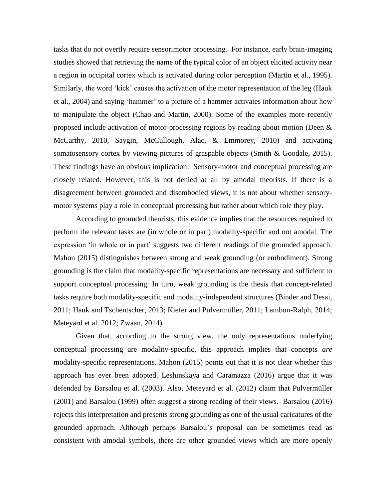tasks that do not overtly require sensorimotor processing. For instance, early brain-imaging studies showed that retrieving the name of the typical color of an object elicited activity near a region in occipital cortex which is activated during color perception (Martin et al., 1995). Similarly, the word 'kick' causes the activation of the motor representation of the leg (Hauk et al., 2004) and saying 'hammer' to a picture of a hammer activates information about how to manipulate the object (Chao and Martin, 2000). Some of the examples more recently proposed include activation of motor-processing regions by reading about motion (Deen & McCarthy, 2010, Saygin, McCullough, Alac, & Emmorey, 2010) and activating somatosensory cortex by viewing pictures of graspable objects (Smith & Goodale, 2015). These findings have an obvious implication: Sensory-motor and conceptual processing are closely related. However, this is not denied at all by amodal theorists. If there is a disagreement between grounded and disembodied views, it is not about whether sensorymotor systems play a role in conceptual processing but rather about which role they play.

According to grounded theorists, this evidence implies that the resources required to perform the relevant tasks are (in whole or in part) modality-specific and not amodal. The expression 'in whole or in part' suggests two different readings of the grounded approach. Mahon (2015) distinguishes between strong and weak grounding (or embodiment). Strong grounding is the claim that modality-specific representations are necessary and sufficient to support conceptual processing. In turn, weak grounding is the thesis that concept-related tasks require both modality-specific and modality-independent structures (Binder and Desai, 2011; Hauk and Tschentscher, 2013; Kiefer and Pulvermüller, 2011; Lambon-Ralph, 2014; Meteyard et al. 2012; Zwaan, 2014).

Given that, according to the strong view, the only representations underlying conceptual processing are modality-specific, this approach implies that concepts *are* modality-specific representations. Mahon (2015) points out that it is not clear whether this approach has ever been adopted. Leshinskaya and Caramazza (2016) argue that it was defended by Barsalou et al. (2003). Also, Meteyard et al. (2012) claim that Pulvermüller (2001) and Barsalou (1999) often suggest a strong reading of their views. Barsalou (2016) rejects this interpretation and presents strong grounding as one of the usual caricatures of the grounded approach. Although perhaps Barsalou's proposal can be sometimes read as consistent with amodal symbols, there are other grounded views which are more openly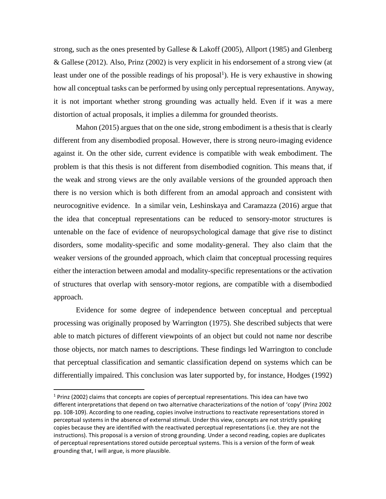strong, such as the ones presented by Gallese & Lakoff (2005), Allport (1985) and Glenberg & Gallese (2012). Also, Prinz (2002) is very explicit in his endorsement of a strong view (at least under one of the possible readings of his proposal<sup>1</sup>). He is very exhaustive in showing how all conceptual tasks can be performed by using only perceptual representations. Anyway, it is not important whether strong grounding was actually held. Even if it was a mere distortion of actual proposals, it implies a dilemma for grounded theorists.

Mahon (2015) argues that on the one side, strong embodiment is a thesis that is clearly different from any disembodied proposal. However, there is strong neuro-imaging evidence against it. On the other side, current evidence is compatible with weak embodiment. The problem is that this thesis is not different from disembodied cognition. This means that, if the weak and strong views are the only available versions of the grounded approach then there is no version which is both different from an amodal approach and consistent with neurocognitive evidence. In a similar vein, Leshinskaya and Caramazza (2016) argue that the idea that conceptual representations can be reduced to sensory-motor structures is untenable on the face of evidence of neuropsychological damage that give rise to distinct disorders, some modality-specific and some modality-general. They also claim that the weaker versions of the grounded approach, which claim that conceptual processing requires either the interaction between amodal and modality-specific representations or the activation of structures that overlap with sensory-motor regions, are compatible with a disembodied approach.

Evidence for some degree of independence between conceptual and perceptual processing was originally proposed by Warrington (1975). She described subjects that were able to match pictures of different viewpoints of an object but could not name nor describe those objects, nor match names to descriptions. These findings led Warrington to conclude that perceptual classification and semantic classification depend on systems which can be differentially impaired. This conclusion was later supported by, for instance, Hodges (1992)

 $\overline{a}$ 

 $1$  Prinz (2002) claims that concepts are copies of perceptual representations. This idea can have two different interpretations that depend on two alternative characterizations of the notion of 'copy' (Prinz 2002 pp. 108-109). According to one reading, copies involve instructions to reactivate representations stored in perceptual systems in the absence of external stimuli. Under this view, concepts are not strictly speaking copies because they are identified with the reactivated perceptual representations (i.e. they are not the instructions). This proposal is a version of strong grounding. Under a second reading, copies are duplicates of perceptual representations stored outside perceptual systems. This is a version of the form of weak grounding that, I will argue, is more plausible.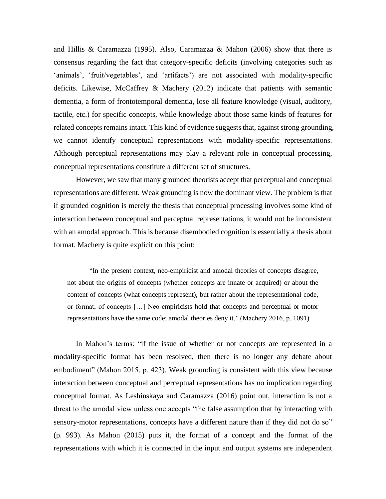and Hillis & Caramazza (1995). Also, Caramazza & Mahon (2006) show that there is consensus regarding the fact that category-specific deficits (involving categories such as 'animals', 'fruit/vegetables', and 'artifacts') are not associated with modality-specific deficits. Likewise, McCaffrey & Machery (2012) indicate that patients with semantic dementia, a form of frontotemporal dementia, lose all feature knowledge (visual, auditory, tactile, etc.) for specific concepts, while knowledge about those same kinds of features for related concepts remains intact. This kind of evidence suggests that, against strong grounding, we cannot identify conceptual representations with modality-specific representations. Although perceptual representations may play a relevant role in conceptual processing, conceptual representations constitute a different set of structures.

However, we saw that many grounded theorists accept that perceptual and conceptual representations are different. Weak grounding is now the dominant view. The problem is that if grounded cognition is merely the thesis that conceptual processing involves some kind of interaction between conceptual and perceptual representations, it would not be inconsistent with an amodal approach. This is because disembodied cognition is essentially a thesis about format. Machery is quite explicit on this point:

"In the present context, neo-empiricist and amodal theories of concepts disagree, not about the origins of concepts (whether concepts are innate or acquired) or about the content of concepts (what concepts represent), but rather about the representational code, or format, of concepts […] Neo-empiricists hold that concepts and perceptual or motor representations have the same code; amodal theories deny it." (Machery 2016, p. 1091)

In Mahon's terms: "if the issue of whether or not concepts are represented in a modality-specific format has been resolved, then there is no longer any debate about embodiment" (Mahon 2015, p. 423). Weak grounding is consistent with this view because interaction between conceptual and perceptual representations has no implication regarding conceptual format. As Leshinskaya and Caramazza (2016) point out, interaction is not a threat to the amodal view unless one accepts "the false assumption that by interacting with sensory-motor representations, concepts have a different nature than if they did not do so" (p. 993). As Mahon (2015) puts it, the format of a concept and the format of the representations with which it is connected in the input and output systems are independent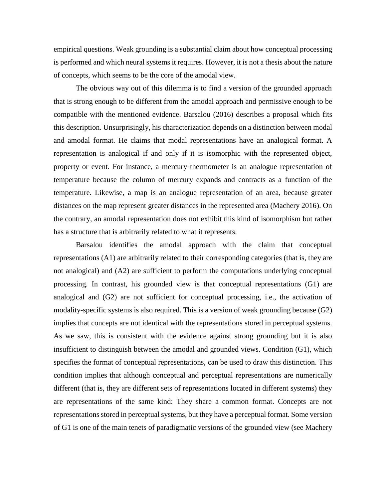empirical questions. Weak grounding is a substantial claim about how conceptual processing is performed and which neural systems it requires. However, it is not a thesis about the nature of concepts, which seems to be the core of the amodal view.

The obvious way out of this dilemma is to find a version of the grounded approach that is strong enough to be different from the amodal approach and permissive enough to be compatible with the mentioned evidence. Barsalou (2016) describes a proposal which fits this description. Unsurprisingly, his characterization depends on a distinction between modal and amodal format. He claims that modal representations have an analogical format. A representation is analogical if and only if it is isomorphic with the represented object, property or event. For instance, a mercury thermometer is an analogue representation of temperature because the column of mercury expands and contracts as a function of the temperature. Likewise, a map is an analogue representation of an area, because greater distances on the map represent greater distances in the represented area (Machery 2016). On the contrary, an amodal representation does not exhibit this kind of isomorphism but rather has a structure that is arbitrarily related to what it represents.

Barsalou identifies the amodal approach with the claim that conceptual representations (A1) are arbitrarily related to their corresponding categories (that is, they are not analogical) and (A2) are sufficient to perform the computations underlying conceptual processing. In contrast, his grounded view is that conceptual representations (G1) are analogical and (G2) are not sufficient for conceptual processing, i.e., the activation of modality-specific systems is also required. This is a version of weak grounding because (G2) implies that concepts are not identical with the representations stored in perceptual systems. As we saw, this is consistent with the evidence against strong grounding but it is also insufficient to distinguish between the amodal and grounded views. Condition (G1), which specifies the format of conceptual representations, can be used to draw this distinction. This condition implies that although conceptual and perceptual representations are numerically different (that is, they are different sets of representations located in different systems) they are representations of the same kind: They share a common format. Concepts are not representations stored in perceptual systems, but they have a perceptual format. Some version of G1 is one of the main tenets of paradigmatic versions of the grounded view (see Machery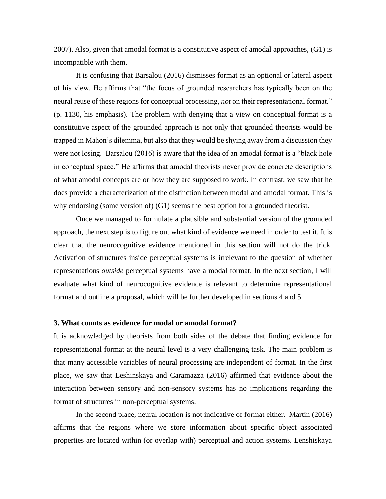2007). Also, given that amodal format is a constitutive aspect of amodal approaches, (G1) is incompatible with them.

It is confusing that Barsalou (2016) dismisses format as an optional or lateral aspect of his view. He affirms that "the focus of grounded researchers has typically been on the neural reuse of these regions for conceptual processing, *not* on their representational format." (p. 1130, his emphasis). The problem with denying that a view on conceptual format is a constitutive aspect of the grounded approach is not only that grounded theorists would be trapped in Mahon's dilemma, but also that they would be shying away from a discussion they were not losing. Barsalou (2016) is aware that the idea of an amodal format is a "black hole in conceptual space." He affirms that amodal theorists never provide concrete descriptions of what amodal concepts are or how they are supposed to work. In contrast, we saw that he does provide a characterization of the distinction between modal and amodal format. This is why endorsing (some version of) (G1) seems the best option for a grounded theorist.

Once we managed to formulate a plausible and substantial version of the grounded approach, the next step is to figure out what kind of evidence we need in order to test it. It is clear that the neurocognitive evidence mentioned in this section will not do the trick. Activation of structures inside perceptual systems is irrelevant to the question of whether representations *outside* perceptual systems have a modal format. In the next section, I will evaluate what kind of neurocognitive evidence is relevant to determine representational format and outline a proposal, which will be further developed in sections 4 and 5.

## **3. What counts as evidence for modal or amodal format?**

It is acknowledged by theorists from both sides of the debate that finding evidence for representational format at the neural level is a very challenging task. The main problem is that many accessible variables of neural processing are independent of format. In the first place, we saw that Leshinskaya and Caramazza (2016) affirmed that evidence about the interaction between sensory and non-sensory systems has no implications regarding the format of structures in non-perceptual systems.

In the second place, neural location is not indicative of format either. Martin (2016) affirms that the regions where we store information about specific object associated properties are located within (or overlap with) perceptual and action systems. Lenshiskaya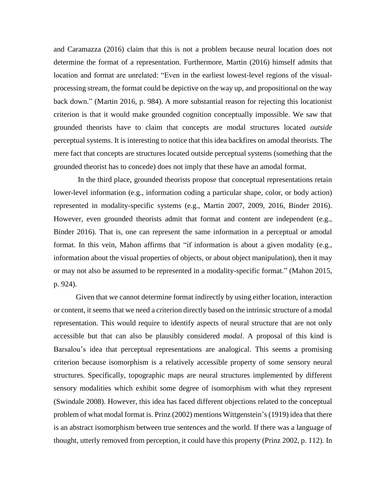and Caramazza (2016) claim that this is not a problem because neural location does not determine the format of a representation. Furthermore, Martin (2016) himself admits that location and format are unrelated: "Even in the earliest lowest-level regions of the visualprocessing stream, the format could be depictive on the way up, and propositional on the way back down." (Martin 2016, p. 984). A more substantial reason for rejecting this locationist criterion is that it would make grounded cognition conceptually impossible. We saw that grounded theorists have to claim that concepts are modal structures located *outside*  perceptual systems. It is interesting to notice that this idea backfires on amodal theorists. The mere fact that concepts are structures located outside perceptual systems (something that the grounded theorist has to concede) does not imply that these have an amodal format.

In the third place, grounded theorists propose that conceptual representations retain lower-level information (e.g., information coding a particular shape, color, or body action) represented in modality-specific systems (e.g., Martin 2007, 2009, 2016, Binder 2016). However, even grounded theorists admit that format and content are independent (e.g., Binder 2016). That is, one can represent the same information in a perceptual or amodal format. In this vein, Mahon affirms that "if information is about a given modality (e.g., information about the visual properties of objects, or about object manipulation), then it may or may not also be assumed to be represented in a modality-specific format." (Mahon 2015, p. 924).

Given that we cannot determine format indirectly by using either location, interaction or content, it seems that we need a criterion directly based on the intrinsic structure of a modal representation. This would require to identify aspects of neural structure that are not only accessible but that can also be plausibly considered *modal*. A proposal of this kind is Barsalou's idea that perceptual representations are analogical. This seems a promising criterion because isomorphism is a relatively accessible property of some sensory neural structures. Specifically, topographic maps are neural structures implemented by different sensory modalities which exhibit some degree of isomorphism with what they represent (Swindale 2008). However, this idea has faced different objections related to the conceptual problem of what modal format is. Prinz (2002) mentions Wittgenstein's (1919) idea that there is an abstract isomorphism between true sentences and the world. If there was a language of thought, utterly removed from perception, it could have this property (Prinz 2002, p. 112). In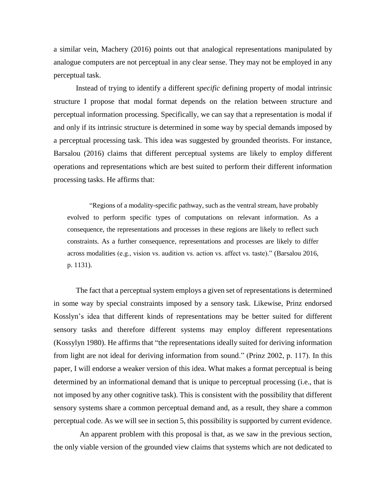a similar vein, Machery (2016) points out that analogical representations manipulated by analogue computers are not perceptual in any clear sense. They may not be employed in any perceptual task.

Instead of trying to identify a different *specific* defining property of modal intrinsic structure I propose that modal format depends on the relation between structure and perceptual information processing. Specifically, we can say that a representation is modal if and only if its intrinsic structure is determined in some way by special demands imposed by a perceptual processing task. This idea was suggested by grounded theorists. For instance, Barsalou (2016) claims that different perceptual systems are likely to employ different operations and representations which are best suited to perform their different information processing tasks. He affirms that:

"Regions of a modality-specific pathway, such as the ventral stream, have probably evolved to perform specific types of computations on relevant information. As a consequence, the representations and processes in these regions are likely to reflect such constraints. As a further consequence, representations and processes are likely to differ across modalities (e.g., vision vs. audition vs. action vs. affect vs. taste)." (Barsalou 2016, p. 1131).

The fact that a perceptual system employs a given set of representations is determined in some way by special constraints imposed by a sensory task. Likewise, Prinz endorsed Kosslyn's idea that different kinds of representations may be better suited for different sensory tasks and therefore different systems may employ different representations (Kossylyn 1980). He affirms that "the representations ideally suited for deriving information from light are not ideal for deriving information from sound." (Prinz 2002, p. 117). In this paper, I will endorse a weaker version of this idea. What makes a format perceptual is being determined by an informational demand that is unique to perceptual processing (i.e., that is not imposed by any other cognitive task). This is consistent with the possibility that different sensory systems share a common perceptual demand and, as a result, they share a common perceptual code. As we will see in section 5, this possibility is supported by current evidence.

An apparent problem with this proposal is that, as we saw in the previous section, the only viable version of the grounded view claims that systems which are not dedicated to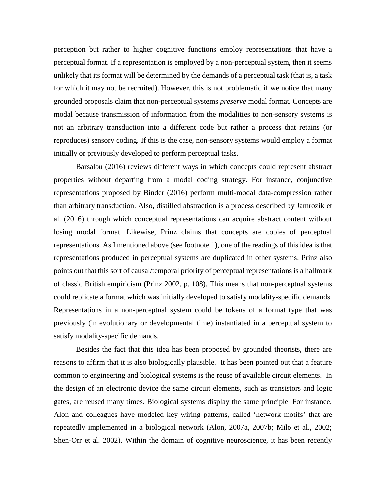perception but rather to higher cognitive functions employ representations that have a perceptual format. If a representation is employed by a non-perceptual system, then it seems unlikely that its format will be determined by the demands of a perceptual task (that is, a task for which it may not be recruited). However, this is not problematic if we notice that many grounded proposals claim that non-perceptual systems *preserve* modal format. Concepts are modal because transmission of information from the modalities to non-sensory systems is not an arbitrary transduction into a different code but rather a process that retains (or reproduces) sensory coding. If this is the case, non-sensory systems would employ a format initially or previously developed to perform perceptual tasks.

Barsalou (2016) reviews different ways in which concepts could represent abstract properties without departing from a modal coding strategy. For instance, conjunctive representations proposed by Binder (2016) perform multi-modal data-compression rather than arbitrary transduction. Also, distilled abstraction is a process described by Jamrozik et al. (2016) through which conceptual representations can acquire abstract content without losing modal format. Likewise, Prinz claims that concepts are copies of perceptual representations. As I mentioned above (see footnote 1), one of the readings of this idea is that representations produced in perceptual systems are duplicated in other systems. Prinz also points out that this sort of causal/temporal priority of perceptual representations is a hallmark of classic British empiricism (Prinz 2002, p. 108). This means that non-perceptual systems could replicate a format which was initially developed to satisfy modality-specific demands. Representations in a non-perceptual system could be tokens of a format type that was previously (in evolutionary or developmental time) instantiated in a perceptual system to satisfy modality-specific demands.

Besides the fact that this idea has been proposed by grounded theorists, there are reasons to affirm that it is also biologically plausible. It has been pointed out that a feature common to engineering and biological systems is the reuse of available circuit elements. In the design of an electronic device the same circuit elements, such as transistors and logic gates, are reused many times. Biological systems display the same principle. For instance, Alon and colleagues have modeled key wiring patterns, called 'network motifs' that are repeatedly implemented in a biological network (Alon, 2007a, 2007b; Milo et al., 2002; Shen-Orr et al. 2002). Within the domain of cognitive neuroscience, it has been recently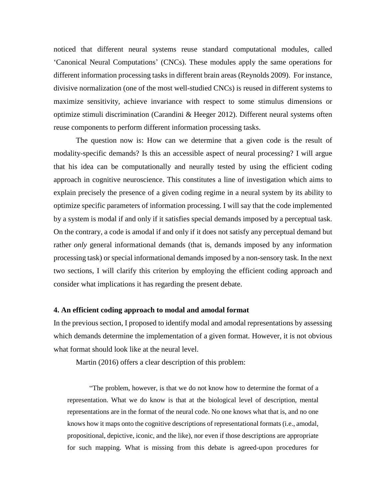noticed that different neural systems reuse standard computational modules, called 'Canonical Neural Computations' (CNCs). These modules apply the same operations for different information processing tasks in different brain areas (Reynolds 2009). For instance, divisive normalization (one of the most well-studied CNCs) is reused in different systems to maximize sensitivity, achieve invariance with respect to some stimulus dimensions or optimize stimuli discrimination (Carandini & Heeger 2012). Different neural systems often reuse components to perform different information processing tasks.

The question now is: How can we determine that a given code is the result of modality-specific demands? Is this an accessible aspect of neural processing? I will argue that his idea can be computationally and neurally tested by using the efficient coding approach in cognitive neuroscience. This constitutes a line of investigation which aims to explain precisely the presence of a given coding regime in a neural system by its ability to optimize specific parameters of information processing. I will say that the code implemented by a system is modal if and only if it satisfies special demands imposed by a perceptual task. On the contrary, a code is amodal if and only if it does not satisfy any perceptual demand but rather *only* general informational demands (that is, demands imposed by any information processing task) or special informational demands imposed by a non-sensory task. In the next two sections, I will clarify this criterion by employing the efficient coding approach and consider what implications it has regarding the present debate.

## **4. An efficient coding approach to modal and amodal format**

In the previous section, I proposed to identify modal and amodal representations by assessing which demands determine the implementation of a given format. However, it is not obvious what format should look like at the neural level.

Martin (2016) offers a clear description of this problem:

"The problem, however, is that we do not know how to determine the format of a representation. What we do know is that at the biological level of description, mental representations are in the format of the neural code. No one knows what that is, and no one knows how it maps onto the cognitive descriptions of representational formats (i.e., amodal, propositional, depictive, iconic, and the like), nor even if those descriptions are appropriate for such mapping. What is missing from this debate is agreed-upon procedures for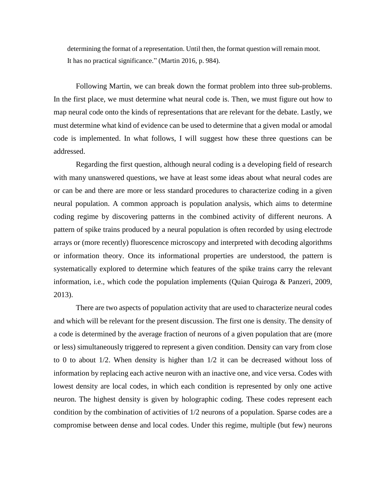determining the format of a representation. Until then, the format question will remain moot. It has no practical significance." (Martin 2016, p. 984).

Following Martin, we can break down the format problem into three sub-problems. In the first place, we must determine what neural code is. Then, we must figure out how to map neural code onto the kinds of representations that are relevant for the debate. Lastly, we must determine what kind of evidence can be used to determine that a given modal or amodal code is implemented. In what follows, I will suggest how these three questions can be addressed.

Regarding the first question, although neural coding is a developing field of research with many unanswered questions, we have at least some ideas about what neural codes are or can be and there are more or less standard procedures to characterize coding in a given neural population. A common approach is population analysis, which aims to determine coding regime by discovering patterns in the combined activity of different neurons. A pattern of spike trains produced by a neural population is often recorded by using electrode arrays or (more recently) fluorescence microscopy and interpreted with decoding algorithms or information theory. Once its informational properties are understood, the pattern is systematically explored to determine which features of the spike trains carry the relevant information, i.e., which code the population implements (Quian Quiroga & Panzeri, 2009, 2013).

There are two aspects of population activity that are used to characterize neural codes and which will be relevant for the present discussion. The first one is density. The density of a code is determined by the average fraction of neurons of a given population that are (more or less) simultaneously triggered to represent a given condition. Density can vary from close to 0 to about 1/2. When density is higher than 1/2 it can be decreased without loss of information by replacing each active neuron with an inactive one, and vice versa. Codes with lowest density are local codes, in which each condition is represented by only one active neuron. The highest density is given by holographic coding. These codes represent each condition by the combination of activities of 1/2 neurons of a population. Sparse codes are a compromise between dense and local codes. Under this regime, multiple (but few) neurons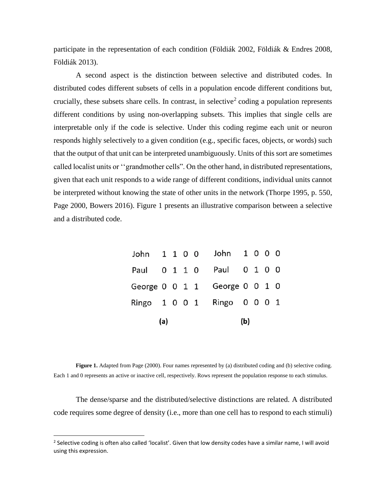participate in the representation of each condition (Földiák 2002, Földiák & Endres 2008, Földiák 2013).

A second aspect is the distinction between selective and distributed codes. In distributed codes different subsets of cells in a population encode different conditions but, crucially, these subsets share cells. In contrast, in selective<sup>2</sup> coding a population represents different conditions by using non-overlapping subsets. This implies that single cells are interpretable only if the code is selective. Under this coding regime each unit or neuron responds highly selectively to a given condition (e.g., specific faces, objects, or words) such that the output of that unit can be interpreted unambiguously. Units of this sort are sometimes called localist units or ''grandmother cells". On the other hand, in distributed representations, given that each unit responds to a wide range of different conditions, individual units cannot be interpreted without knowing the state of other units in the network (Thorpe 1995, p. 550, Page 2000, Bowers 2016). Figure 1 presents an illustrative comparison between a selective and a distributed code.

| (a) |  |  | (b)                           |  |  |  |  |  |  |  |  |
|-----|--|--|-------------------------------|--|--|--|--|--|--|--|--|
|     |  |  | Ringo 1 0 0 1 Ringo 0 0 0 1   |  |  |  |  |  |  |  |  |
|     |  |  | George 0 0 1 1 George 0 0 1 0 |  |  |  |  |  |  |  |  |
|     |  |  | Paul 0 1 1 0 Paul 0 1 0 0     |  |  |  |  |  |  |  |  |
|     |  |  | John 1 1 0 0 John 1 0 0 0     |  |  |  |  |  |  |  |  |

**Figure 1.** Adapted from Page (2000). Four names represented by (a) distributed coding and (b) selective coding. Each 1 and 0 represents an active or inactive cell, respectively. Rows represent the population response to each stimulus.

The dense/sparse and the distributed/selective distinctions are related. A distributed code requires some degree of density (i.e., more than one cell has to respond to each stimuli)

 $\overline{a}$ 

<sup>&</sup>lt;sup>2</sup> Selective coding is often also called 'localist'. Given that low density codes have a similar name, I will avoid using this expression.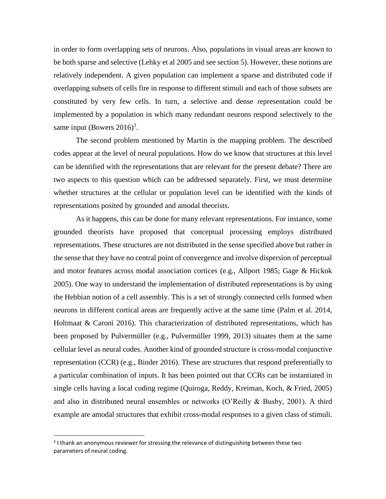in order to form overlapping sets of neurons. Also, populations in visual areas are known to be both sparse and selective (Lehky et al 2005 and see section 5). However, these notions are relatively independent. A given population can implement a sparse and distributed code if overlapping subsets of cells fire in response to different stimuli and each of those subsets are constituted by very few cells. In turn, a selective and dense representation could be implemented by a population in which many redundant neurons respond selectively to the same input (Bowers  $2016$ )<sup>3</sup>.

The second problem mentioned by Martin is the mapping problem. The described codes appear at the level of neural populations. How do we know that structures at this level can be identified with the representations that are relevant for the present debate? There are two aspects to this question which can be addressed separately. First, we must determine whether structures at the cellular or population level can be identified with the kinds of representations posited by grounded and amodal theorists.

As it happens, this can be done for many relevant representations. For instance, some grounded theorists have proposed that conceptual processing employs distributed representations. These structures are not distributed in the sense specified above but rather in the sense that they have no central point of convergence and involve dispersion of perceptual and motor features across modal association cortices (e.g., Allport 1985; Gage & Hickok 2005). One way to understand the implementation of distributed representations is by using the Hebbian notion of a cell assembly. This is a set of strongly connected cells formed when neurons in different cortical areas are frequently active at the same time (Palm et al. 2014, Holtmaat & Caroni 2016). This characterization of distributed representations, which has been proposed by Pulvermüller (e.g., Pulvermüller 1999, 2013) situates them at the same cellular level as neural codes. Another kind of grounded structure is cross-modal conjunctive representation (CCR) (e.g., Binder 2016). These are structures that respond preferentially to a particular combination of inputs. It has been pointed out that CCRs can be instantiated in single cells having a local coding regime (Quiroga, Reddy, Kreiman, Koch, & Fried, 2005) and also in distributed neural ensembles or networks (O'Reilly & Busby, 2001). A third example are amodal structures that exhibit cross-modal responses to a given class of stimuli.

 $\overline{a}$ 

<sup>&</sup>lt;sup>3</sup> I thank an anonymous reviewer for stressing the relevance of distinguishing between these two parameters of neural coding.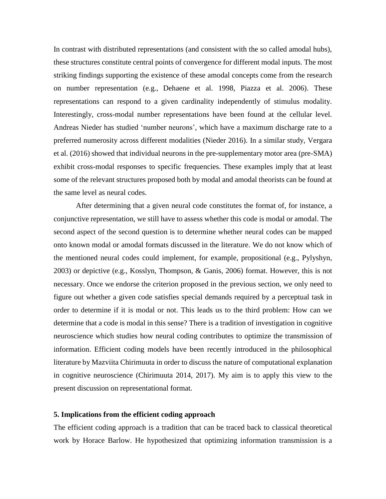In contrast with distributed representations (and consistent with the so called amodal hubs), these structures constitute central points of convergence for different modal inputs. The most striking findings supporting the existence of these amodal concepts come from the research on number representation (e.g., Dehaene et al. 1998, Piazza et al. 2006). These representations can respond to a given cardinality independently of stimulus modality. Interestingly, cross-modal number representations have been found at the cellular level. Andreas Nieder has studied 'number neurons', which have a maximum discharge rate to a preferred numerosity across different modalities (Nieder 2016). In a similar study, Vergara et al. (2016) showed that individual neurons in the pre-supplementary motor area (pre-SMA) exhibit cross-modal responses to specific frequencies. These examples imply that at least some of the relevant structures proposed both by modal and amodal theorists can be found at the same level as neural codes.

After determining that a given neural code constitutes the format of, for instance, a conjunctive representation, we still have to assess whether this code is modal or amodal. The second aspect of the second question is to determine whether neural codes can be mapped onto known modal or amodal formats discussed in the literature. We do not know which of the mentioned neural codes could implement, for example, propositional (e.g., Pylyshyn, 2003) or depictive (e.g., Kosslyn, Thompson, & Ganis, 2006) format. However, this is not necessary. Once we endorse the criterion proposed in the previous section, we only need to figure out whether a given code satisfies special demands required by a perceptual task in order to determine if it is modal or not. This leads us to the third problem: How can we determine that a code is modal in this sense? There is a tradition of investigation in cognitive neuroscience which studies how neural coding contributes to optimize the transmission of information. Efficient coding models have been recently introduced in the philosophical literature by Mazviita Chirimuuta in order to discuss the nature of computational explanation in cognitive neuroscience (Chirimuuta 2014, 2017). My aim is to apply this view to the present discussion on representational format.

### **5. Implications from the efficient coding approach**

The efficient coding approach is a tradition that can be traced back to classical theoretical work by Horace Barlow. He hypothesized that optimizing information transmission is a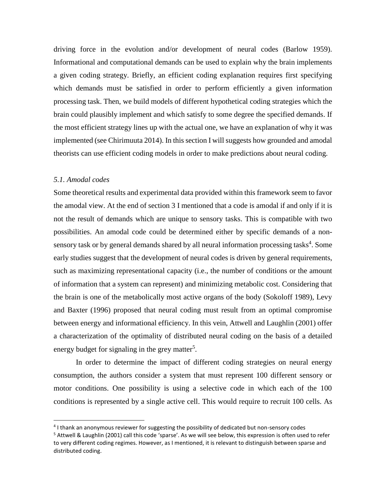driving force in the evolution and/or development of neural codes (Barlow 1959). Informational and computational demands can be used to explain why the brain implements a given coding strategy. Briefly, an efficient coding explanation requires first specifying which demands must be satisfied in order to perform efficiently a given information processing task. Then, we build models of different hypothetical coding strategies which the brain could plausibly implement and which satisfy to some degree the specified demands. If the most efficient strategy lines up with the actual one, we have an explanation of why it was implemented (see Chirimuuta 2014). In this section I will suggests how grounded and amodal theorists can use efficient coding models in order to make predictions about neural coding.

#### *5.1. Amodal codes*

 $\overline{a}$ 

Some theoretical results and experimental data provided within this framework seem to favor the amodal view. At the end of section 3 I mentioned that a code is amodal if and only if it is not the result of demands which are unique to sensory tasks. This is compatible with two possibilities. An amodal code could be determined either by specific demands of a nonsensory task or by general demands shared by all neural information processing tasks<sup>4</sup>. Some early studies suggest that the development of neural codes is driven by general requirements, such as maximizing representational capacity (i.e., the number of conditions or the amount of information that a system can represent) and minimizing metabolic cost. Considering that the brain is one of the metabolically most active organs of the body (Sokoloff 1989), Levy and Baxter (1996) proposed that neural coding must result from an optimal compromise between energy and informational efficiency. In this vein, Attwell and Laughlin (2001) offer a characterization of the optimality of distributed neural coding on the basis of a detailed energy budget for signaling in the grey matter<sup>5</sup>.

In order to determine the impact of different coding strategies on neural energy consumption, the authors consider a system that must represent 100 different sensory or motor conditions. One possibility is using a selective code in which each of the 100 conditions is represented by a single active cell. This would require to recruit 100 cells. As

<sup>&</sup>lt;sup>4</sup> I thank an anonymous reviewer for suggesting the possibility of dedicated but non-sensory codes

<sup>5</sup> Attwell & Laughlin (2001) call this code 'sparse'. As we will see below, this expression is often used to refer to very different coding regimes. However, as I mentioned, it is relevant to distinguish between sparse and distributed coding.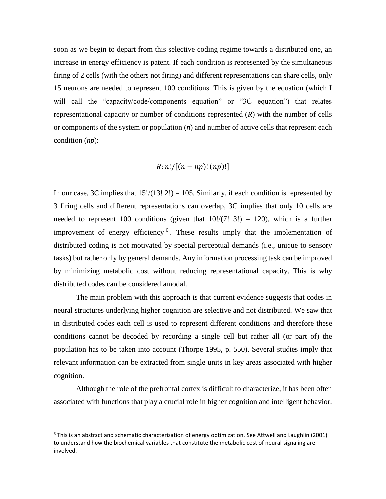soon as we begin to depart from this selective coding regime towards a distributed one, an increase in energy efficiency is patent. If each condition is represented by the simultaneous firing of 2 cells (with the others not firing) and different representations can share cells, only 15 neurons are needed to represent 100 conditions. This is given by the equation (which I will call the "capacity/code/components equation" or "3C equation") that relates representational capacity or number of conditions represented (*R*) with the number of cells or components of the system or population (*n*) and number of active cells that represent each condition (*np*):

$$
R: n!/[(n-np)!(np)!]
$$

In our case, 3C implies that  $15!/(13! 2!) = 105$ . Similarly, if each condition is represented by 3 firing cells and different representations can overlap, 3C implies that only 10 cells are needed to represent 100 conditions (given that  $10!/(7! \ 3!) = 120$ ), which is a further improvement of energy efficiency<sup>6</sup>. These results imply that the implementation of distributed coding is not motivated by special perceptual demands (i.e., unique to sensory tasks) but rather only by general demands. Any information processing task can be improved by minimizing metabolic cost without reducing representational capacity. This is why distributed codes can be considered amodal.

The main problem with this approach is that current evidence suggests that codes in neural structures underlying higher cognition are selective and not distributed. We saw that in distributed codes each cell is used to represent different conditions and therefore these conditions cannot be decoded by recording a single cell but rather all (or part of) the population has to be taken into account (Thorpe 1995, p. 550). Several studies imply that relevant information can be extracted from single units in key areas associated with higher cognition.

Although the role of the prefrontal cortex is difficult to characterize, it has been often associated with functions that play a crucial role in higher cognition and intelligent behavior.

 $\overline{a}$ 

 $6$  This is an abstract and schematic characterization of energy optimization. See Attwell and Laughlin (2001) to understand how the biochemical variables that constitute the metabolic cost of neural signaling are involved.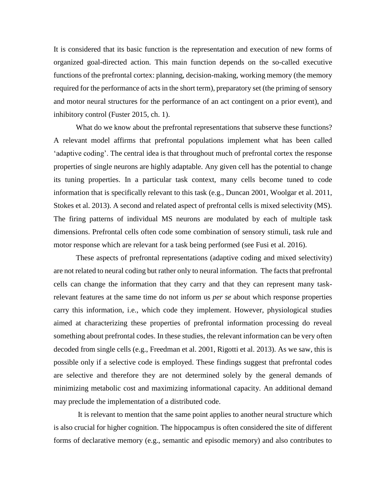It is considered that its basic function is the representation and execution of new forms of organized goal-directed action. This main function depends on the so-called executive functions of the prefrontal cortex: planning, decision-making, working memory (the memory required for the performance of acts in the short term), preparatory set (the priming of sensory and motor neural structures for the performance of an act contingent on a prior event), and inhibitory control (Fuster 2015, ch. 1).

What do we know about the prefrontal representations that subserve these functions? A relevant model affirms that prefrontal populations implement what has been called 'adaptive coding'. The central idea is that throughout much of prefrontal cortex the response properties of single neurons are highly adaptable. Any given cell has the potential to change its tuning properties. In a particular task context, many cells become tuned to code information that is specifically relevant to this task (e.g., Duncan 2001, Woolgar et al. 2011, Stokes et al. 2013). A second and related aspect of prefrontal cells is mixed selectivity (MS). The firing patterns of individual MS neurons are modulated by each of multiple task dimensions. Prefrontal cells often code some combination of sensory stimuli, task rule and motor response which are relevant for a task being performed (see Fusi et al. 2016).

These aspects of prefrontal representations (adaptive coding and mixed selectivity) are not related to neural coding but rather only to neural information. The facts that prefrontal cells can change the information that they carry and that they can represent many taskrelevant features at the same time do not inform us *per se* about which response properties carry this information, i.e., which code they implement. However, physiological studies aimed at characterizing these properties of prefrontal information processing do reveal something about prefrontal codes. In these studies, the relevant information can be very often decoded from single cells (e.g., Freedman et al. 2001, Rigotti et al. 2013). As we saw, this is possible only if a selective code is employed. These findings suggest that prefrontal codes are selective and therefore they are not determined solely by the general demands of minimizing metabolic cost and maximizing informational capacity. An additional demand may preclude the implementation of a distributed code.

It is relevant to mention that the same point applies to another neural structure which is also crucial for higher cognition. The hippocampus is often considered the site of different forms of declarative memory (e.g., semantic and episodic memory) and also contributes to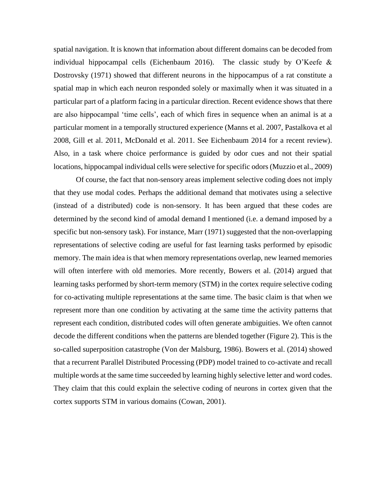spatial navigation. It is known that information about different domains can be decoded from individual hippocampal cells (Eichenbaum 2016). The classic study by O'Keefe & Dostrovsky (1971) showed that different neurons in the hippocampus of a rat constitute a spatial map in which each neuron responded solely or maximally when it was situated in a particular part of a platform facing in a particular direction. Recent evidence shows that there are also hippocampal 'time cells', each of which fires in sequence when an animal is at a particular moment in a temporally structured experience (Manns et al. 2007, Pastalkova et al 2008, Gill et al. 2011, McDonald et al. 2011. See Eichenbaum 2014 for a recent review). Also, in a task where choice performance is guided by odor cues and not their spatial locations, hippocampal individual cells were selective for specific odors (Muzzio et al., 2009)

Of course, the fact that non-sensory areas implement selective coding does not imply that they use modal codes. Perhaps the additional demand that motivates using a selective (instead of a distributed) code is non-sensory. It has been argued that these codes are determined by the second kind of amodal demand I mentioned (i.e. a demand imposed by a specific but non-sensory task). For instance, Marr (1971) suggested that the non-overlapping representations of selective coding are useful for fast learning tasks performed by episodic memory. The main idea is that when memory representations overlap, new learned memories will often interfere with old memories. More recently, Bowers et al. (2014) argued that learning tasks performed by short-term memory (STM) in the cortex require selective coding for co-activating multiple representations at the same time. The basic claim is that when we represent more than one condition by activating at the same time the activity patterns that represent each condition, distributed codes will often generate ambiguities. We often cannot decode the different conditions when the patterns are blended together (Figure 2). This is the so-called superposition catastrophe (Von der Malsburg, 1986). Bowers et al. (2014) showed that a recurrent Parallel Distributed Processing (PDP) model trained to co-activate and recall multiple words at the same time succeeded by learning highly selective letter and word codes. They claim that this could explain the selective coding of neurons in cortex given that the cortex supports STM in various domains (Cowan, 2001).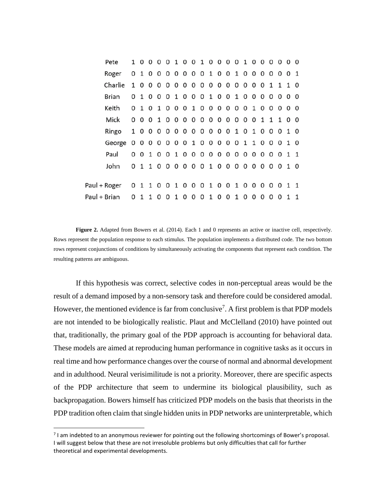|              | Pete                        |   |   |   |          |   |  |  |  | 1000010010000 | $\mathbf{1}$ |               |  | 000000               |              |
|--------------|-----------------------------|---|---|---|----------|---|--|--|--|---------------|--------------|---------------|--|----------------------|--------------|
|              | Roger                       |   |   |   |          |   |  |  |  |               |              |               |  | 01000000010010000001 |              |
|              | Charlie                     |   |   |   |          |   |  |  |  |               |              |               |  | 10000000000000001110 |              |
|              | Brian                       |   |   |   |          |   |  |  |  |               |              |               |  | 01000100010010000000 |              |
|              | Keith                       |   |   |   |          |   |  |  |  |               |              |               |  | 01010001000000100000 |              |
|              | Mick                        |   |   |   |          |   |  |  |  |               |              |               |  | 00010000000000011100 |              |
|              | Ringo                       |   |   |   |          |   |  |  |  |               |              |               |  | 10000000000010100010 |              |
|              | George 00000001000001100010 |   |   |   |          |   |  |  |  |               |              |               |  |                      |              |
|              | Paul                        |   |   |   |          |   |  |  |  |               |              |               |  | 00100100000000000011 |              |
|              | John                        |   |   |   |          |   |  |  |  |               |              |               |  | 01100000010000000010 |              |
| Paul + Roger |                             |   |   |   |          |   |  |  |  |               |              |               |  | 01100100010010000011 |              |
| Paul + Brian |                             | 0 | 1 | 1 | $\Omega$ | 0 |  |  |  |               |              | 1000100100000 |  |                      | $\mathbf{1}$ |

Figure 2. Adapted from Bowers et al. (2014). Each 1 and 0 represents an active or inactive cell, respectively. Rows represent the population response to each stimulus. The population implements a distributed code. The two bottom rows represent conjunctions of conditions by simultaneously activating the components that represent each condition. The resulting patterns are ambiguous.

If this hypothesis was correct, selective codes in non-perceptual areas would be the result of a demand imposed by a non-sensory task and therefore could be considered amodal. However, the mentioned evidence is far from conclusive<sup>7</sup>. A first problem is that PDP models are not intended to be biologically realistic. Plaut and McClelland (2010) have pointed out that, traditionally, the primary goal of the PDP approach is accounting for behavioral data. These models are aimed at reproducing human performance in cognitive tasks as it occurs in real time and how performance changes over the course of normal and abnormal development and in adulthood. Neural verisimilitude is not a priority. Moreover, there are specific aspects of the PDP architecture that seem to undermine its biological plausibility, such as backpropagation. Bowers himself has criticized PDP models on the basis that theorists in the PDP tradition often claim that single hidden units in PDP networks are uninterpretable, which

 $\overline{a}$ 

<sup>&</sup>lt;sup>7</sup> I am indebted to an anonymous reviewer for pointing out the following shortcomings of Bower's proposal. I will suggest below that these are not irresoluble problems but only difficulties that call for further theoretical and experimental developments.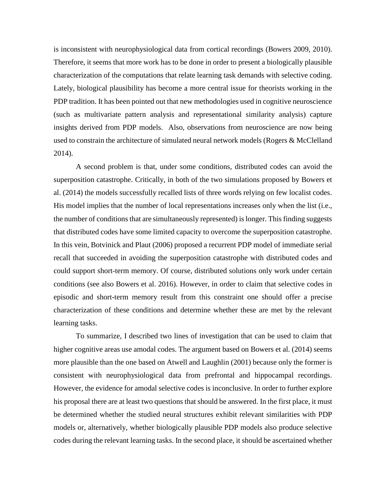is inconsistent with neurophysiological data from cortical recordings (Bowers 2009, 2010). Therefore, it seems that more work has to be done in order to present a biologically plausible characterization of the computations that relate learning task demands with selective coding. Lately, biological plausibility has become a more central issue for theorists working in the PDP tradition. It has been pointed out that new methodologies used in cognitive neuroscience (such as multivariate pattern analysis and representational similarity analysis) capture insights derived from PDP models. Also, observations from neuroscience are now being used to constrain the architecture of simulated neural network models (Rogers & McClelland 2014).

A second problem is that, under some conditions, distributed codes can avoid the superposition catastrophe. Critically, in both of the two simulations proposed by Bowers et al. (2014) the models successfully recalled lists of three words relying on few localist codes. His model implies that the number of local representations increases only when the list (i.e., the number of conditions that are simultaneously represented) is longer. This finding suggests that distributed codes have some limited capacity to overcome the superposition catastrophe. In this vein, Botvinick and Plaut (2006) proposed a recurrent PDP model of immediate serial recall that succeeded in avoiding the superposition catastrophe with distributed codes and could support short-term memory. Of course, distributed solutions only work under certain conditions (see also Bowers et al. 2016). However, in order to claim that selective codes in episodic and short-term memory result from this constraint one should offer a precise characterization of these conditions and determine whether these are met by the relevant learning tasks.

To summarize, I described two lines of investigation that can be used to claim that higher cognitive areas use amodal codes. The argument based on Bowers et al. (2014) seems more plausible than the one based on Atwell and Laughlin (2001) because only the former is consistent with neurophysiological data from prefrontal and hippocampal recordings. However, the evidence for amodal selective codes is inconclusive. In order to further explore his proposal there are at least two questions that should be answered. In the first place, it must be determined whether the studied neural structures exhibit relevant similarities with PDP models or, alternatively, whether biologically plausible PDP models also produce selective codes during the relevant learning tasks. In the second place, it should be ascertained whether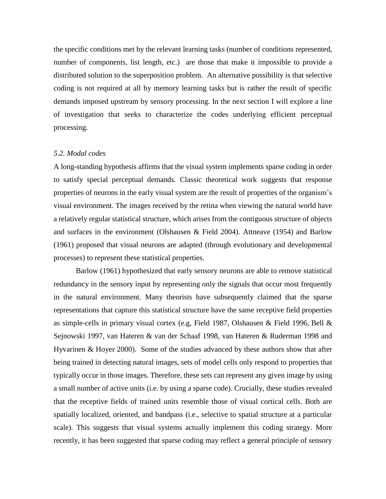the specific conditions met by the relevant learning tasks (number of conditions represented, number of components, list length, etc.) are those that make it impossible to provide a distributed solution to the superposition problem. An alternative possibility is that selective coding is not required at all by memory learning tasks but is rather the result of specific demands imposed upstream by sensory processing. In the next section I will explore a line of investigation that seeks to characterize the codes underlying efficient perceptual processing.

## *5.2. Modal codes*

A long-standing hypothesis affirms that the visual system implements sparse coding in order to satisfy special perceptual demands. Classic theoretical work suggests that response properties of neurons in the early visual system are the result of properties of the organism's visual environment. The images received by the retina when viewing the natural world have a relatively regular statistical structure, which arises from the contiguous structure of objects and surfaces in the environment (Olshausen & Field 2004). Attneave (1954) and Barlow (1961) proposed that visual neurons are adapted (through evolutionary and developmental processes) to represent these statistical properties.

Barlow (1961) hypothesized that early sensory neurons are able to remove statistical redundancy in the sensory input by representing only the signals that occur most frequently in the natural environment. Many theorists have subsequently claimed that the sparse representations that capture this statistical structure have the same receptive field properties as simple-cells in primary visual cortex (e.g, Field 1987, Olshausen & Field 1996, Bell & Sejnowski 1997, van Hateren & van der Schaaf 1998, van Hateren & Ruderman 1998 and Hyvarinen & Hoyer 2000). Some of the studies advanced by these authors show that after being trained in detecting natural images, sets of model cells only respond to properties that typically occur in those images. Therefore, these sets can represent any given image by using a small number of active units (i.e. by using a sparse code). Crucially, these studies revealed that the receptive fields of trained units resemble those of visual cortical cells. Both are spatially localized, oriented, and bandpass (i.e., selective to spatial structure at a particular scale). This suggests that visual systems actually implement this coding strategy. More recently, it has been suggested that sparse coding may reflect a general principle of sensory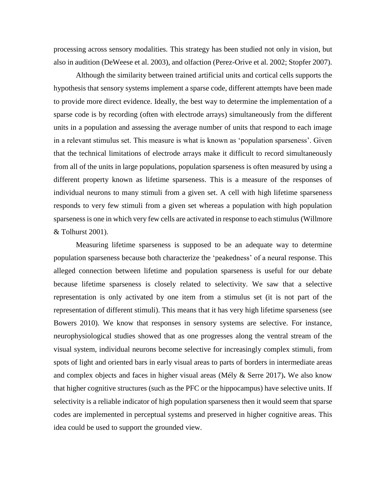processing across sensory modalities. This strategy has been studied not only in vision, but also in audition (DeWeese et al. 2003), and olfaction (Perez-Orive et al. 2002; Stopfer 2007).

Although the similarity between trained artificial units and cortical cells supports the hypothesis that sensory systems implement a sparse code, different attempts have been made to provide more direct evidence. Ideally, the best way to determine the implementation of a sparse code is by recording (often with electrode arrays) simultaneously from the different units in a population and assessing the average number of units that respond to each image in a relevant stimulus set. This measure is what is known as 'population sparseness'. Given that the technical limitations of electrode arrays make it difficult to record simultaneously from all of the units in large populations, population sparseness is often measured by using a different property known as lifetime sparseness. This is a measure of the responses of individual neurons to many stimuli from a given set. A cell with high lifetime sparseness responds to very few stimuli from a given set whereas a population with high population sparseness is one in which very few cells are activated in response to each stimulus (Willmore & Tolhurst 2001).

Measuring lifetime sparseness is supposed to be an adequate way to determine population sparseness because both characterize the 'peakedness' of a neural response. This alleged connection between lifetime and population sparseness is useful for our debate because lifetime sparseness is closely related to selectivity. We saw that a selective representation is only activated by one item from a stimulus set (it is not part of the representation of different stimuli). This means that it has very high lifetime sparseness (see Bowers 2010). We know that responses in sensory systems are selective. For instance, neurophysiological studies showed that as one progresses along the ventral stream of the visual system, individual neurons become selective for increasingly complex stimuli, from spots of light and oriented bars in early visual areas to parts of borders in intermediate areas and complex objects and faces in higher visual areas (Mély & Serre 2017)**.** We also know that higher cognitive structures (such as the PFC or the hippocampus) have selective units. If selectivity is a reliable indicator of high population sparseness then it would seem that sparse codes are implemented in perceptual systems and preserved in higher cognitive areas. This idea could be used to support the grounded view.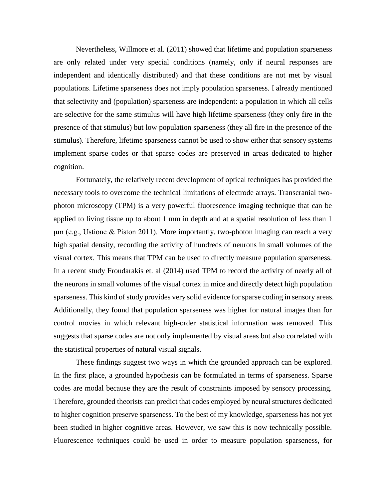Nevertheless, Willmore et al. (2011) showed that lifetime and population sparseness are only related under very special conditions (namely, only if neural responses are independent and identically distributed) and that these conditions are not met by visual populations. Lifetime sparseness does not imply population sparseness. I already mentioned that selectivity and (population) sparseness are independent: a population in which all cells are selective for the same stimulus will have high lifetime sparseness (they only fire in the presence of that stimulus) but low population sparseness (they all fire in the presence of the stimulus). Therefore, lifetime sparseness cannot be used to show either that sensory systems implement sparse codes or that sparse codes are preserved in areas dedicated to higher cognition.

Fortunately, the relatively recent development of optical techniques has provided the necessary tools to overcome the technical limitations of electrode arrays. Transcranial twophoton microscopy (TPM) is a very powerful fluorescence imaging technique that can be applied to living tissue up to about 1 mm in depth and at a spatial resolution of less than 1 μm (e.g., Ustione & Piston 2011). More importantly, two-photon imaging can reach a very high spatial density, recording the activity of hundreds of neurons in small volumes of the visual cortex. This means that TPM can be used to directly measure population sparseness. In a recent study Froudarakis et. al (2014) used TPM to record the activity of nearly all of the neurons in small volumes of the visual cortex in mice and directly detect high population sparseness. This kind of study provides very solid evidence for sparse coding in sensory areas. Additionally, they found that population sparseness was higher for natural images than for control movies in which relevant high-order statistical information was removed. This suggests that sparse codes are not only implemented by visual areas but also correlated with the statistical properties of natural visual signals.

These findings suggest two ways in which the grounded approach can be explored. In the first place, a grounded hypothesis can be formulated in terms of sparseness. Sparse codes are modal because they are the result of constraints imposed by sensory processing. Therefore, grounded theorists can predict that codes employed by neural structures dedicated to higher cognition preserve sparseness. To the best of my knowledge, sparseness has not yet been studied in higher cognitive areas. However, we saw this is now technically possible. Fluorescence techniques could be used in order to measure population sparseness, for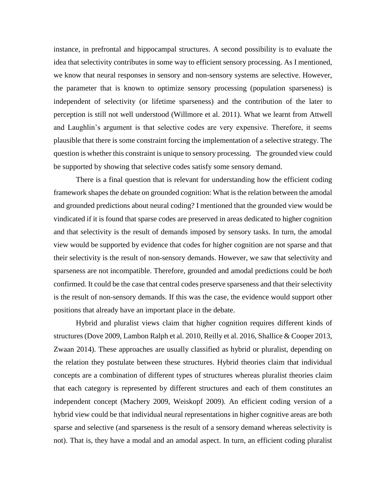instance, in prefrontal and hippocampal structures. A second possibility is to evaluate the idea that selectivity contributes in some way to efficient sensory processing. As I mentioned, we know that neural responses in sensory and non-sensory systems are selective. However, the parameter that is known to optimize sensory processing (population sparseness) is independent of selectivity (or lifetime sparseness) and the contribution of the later to perception is still not well understood (Willmore et al. 2011). What we learnt from Attwell and Laughlin's argument is that selective codes are very expensive. Therefore, it seems plausible that there is some constraint forcing the implementation of a selective strategy. The question is whether this constraint is unique to sensory processing. The grounded view could be supported by showing that selective codes satisfy some sensory demand.

There is a final question that is relevant for understanding how the efficient coding framework shapes the debate on grounded cognition: What is the relation between the amodal and grounded predictions about neural coding? I mentioned that the grounded view would be vindicated if it is found that sparse codes are preserved in areas dedicated to higher cognition and that selectivity is the result of demands imposed by sensory tasks. In turn, the amodal view would be supported by evidence that codes for higher cognition are not sparse and that their selectivity is the result of non-sensory demands. However, we saw that selectivity and sparseness are not incompatible. Therefore, grounded and amodal predictions could be *both* confirmed. It could be the case that central codes preserve sparseness and that their selectivity is the result of non-sensory demands. If this was the case, the evidence would support other positions that already have an important place in the debate.

Hybrid and pluralist views claim that higher cognition requires different kinds of structures (Dove 2009, Lambon Ralph et al. 2010, Reilly et al. 2016, Shallice & Cooper 2013, Zwaan 2014). These approaches are usually classified as hybrid or pluralist, depending on the relation they postulate between these structures. Hybrid theories claim that individual concepts are a combination of different types of structures whereas pluralist theories claim that each category is represented by different structures and each of them constitutes an independent concept (Machery 2009, Weiskopf 2009). An efficient coding version of a hybrid view could be that individual neural representations in higher cognitive areas are both sparse and selective (and sparseness is the result of a sensory demand whereas selectivity is not). That is, they have a modal and an amodal aspect. In turn, an efficient coding pluralist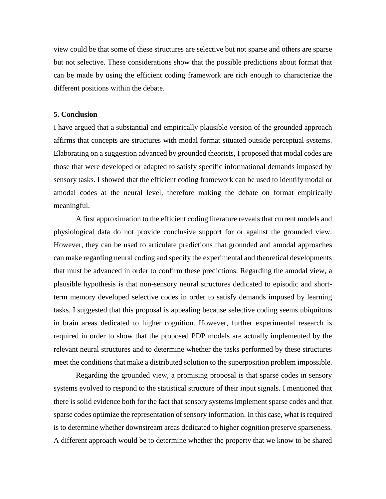view could be that some of these structures are selective but not sparse and others are sparse but not selective. These considerations show that the possible predictions about format that can be made by using the efficient coding framework are rich enough to characterize the different positions within the debate.

# **5. Conclusion**

I have argued that a substantial and empirically plausible version of the grounded approach affirms that concepts are structures with modal format situated outside perceptual systems. Elaborating on a suggestion advanced by grounded theorists, I proposed that modal codes are those that were developed or adapted to satisfy specific informational demands imposed by sensory tasks. I showed that the efficient coding framework can be used to identify modal or amodal codes at the neural level, therefore making the debate on format empirically meaningful.

A first approximation to the efficient coding literature reveals that current models and physiological data do not provide conclusive support for or against the grounded view. However, they can be used to articulate predictions that grounded and amodal approaches can make regarding neural coding and specify the experimental and theoretical developments that must be advanced in order to confirm these predictions. Regarding the amodal view, a plausible hypothesis is that non-sensory neural structures dedicated to episodic and shortterm memory developed selective codes in order to satisfy demands imposed by learning tasks. I suggested that this proposal is appealing because selective coding seems ubiquitous in brain areas dedicated to higher cognition. However, further experimental research is required in order to show that the proposed PDP models are actually implemented by the relevant neural structures and to determine whether the tasks performed by these structures meet the conditions that make a distributed solution to the superposition problem impossible.

Regarding the grounded view, a promising proposal is that sparse codes in sensory systems evolved to respond to the statistical structure of their input signals. I mentioned that there is solid evidence both for the fact that sensory systems implement sparse codes and that sparse codes optimize the representation of sensory information. In this case, what is required is to determine whether downstream areas dedicated to higher cognition preserve sparseness. A different approach would be to determine whether the property that we know to be shared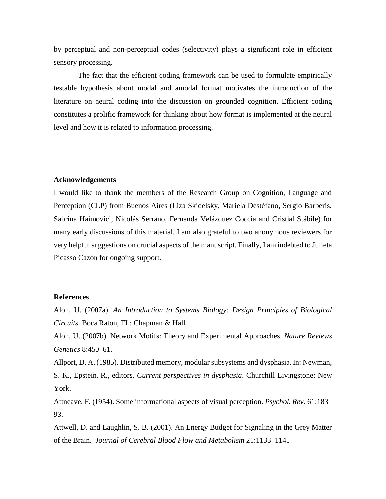by perceptual and non-perceptual codes (selectivity) plays a significant role in efficient sensory processing.

The fact that the efficient coding framework can be used to formulate empirically testable hypothesis about modal and amodal format motivates the introduction of the literature on neural coding into the discussion on grounded cognition. Efficient coding constitutes a prolific framework for thinking about how format is implemented at the neural level and how it is related to information processing.

#### **Acknowledgements**

I would like to thank the members of the Research Group on Cognition, Language and Perception (CLP) from Buenos Aires (Liza Skidelsky, Mariela Destéfano, Sergio Barberis, Sabrina Haimovici, Nicolás Serrano, Fernanda Velázquez Coccia and Cristial Stábile) for many early discussions of this material. I am also grateful to two anonymous reviewers for very helpful suggestions on crucial aspects of the manuscript. Finally, I am indebted to Julieta Picasso Cazón for ongoing support.

#### **References**

Alon, U. (2007a). *An Introduction to Systems Biology: Design Principles of Biological Circuits*. Boca Raton, FL: Chapman & Hall

Alon, U. (2007b). Network Motifs: Theory and Experimental Approaches. *Nature Reviews Genetics* 8:450–61.

Allport, D. A. (1985). Distributed memory, modular subsystems and dysphasia. In: Newman, S. K., Epstein, R., editors. *Current perspectives in dysphasia*. Churchill Livingstone: New York.

Attneave, F. (1954). Some informational aspects of visual perception. *Psychol. Rev.* 61:183– 93.

Attwell, D. and Laughlin, S. B. (2001). An Energy Budget for Signaling in the Grey Matter of the Brain. *Journal of Cerebral Blood Flow and Metabolism* 21:1133–1145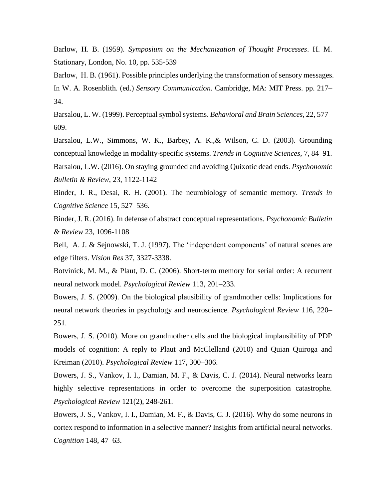Barlow, H. B. (1959). *Symposium on the Mechanization of Thought Processes*. H. M. Stationary, London, No. 10, pp. 535-539

Barlow, H. B. (1961). Possible principles underlying the transformation of sensory messages. In W. A. Rosenblith. (ed.) *Sensory Communication*. Cambridge, MA: MIT Press. pp. 217– 34.

Barsalou, L. W. (1999). Perceptual symbol systems. *Behavioral and Brain Sciences*, 22, 577– 609.

Barsalou, L.W., Simmons, W. K., Barbey, A. K.,& Wilson, C. D. (2003). Grounding conceptual knowledge in modality-specific systems. *Trends in Cognitive Sciences*, 7, 84–91. Barsalou, L.W. (2016). On staying grounded and avoiding Quixotic dead ends. *Psychonomic Bulletin & Review*, 23, 1122-1142

Binder, J. R., Desai, R. H. (2001). The neurobiology of semantic memory. *Trends in Cognitive Science* 15, 527–536.

Binder, J. R. (2016). In defense of abstract conceptual representations. *Psychonomic Bulletin & Review* 23, 1096-1108

Bell, A. J. & Sejnowski, T. J. (1997). The 'independent components' of natural scenes are edge filters. *Vision Res* 37, 3327-3338.

Botvinick, M. M., & Plaut, D. C. (2006). Short-term memory for serial order: A recurrent neural network model. *Psychological Review* 113, 201–233.

Bowers, J. S. (2009). On the biological plausibility of grandmother cells: Implications for neural network theories in psychology and neuroscience. *Psychological Review* 116, 220– 251.

Bowers, J. S. (2010). More on grandmother cells and the biological implausibility of PDP models of cognition: A reply to Plaut and McClelland (2010) and Quian Quiroga and Kreiman (2010). *Psychological Review* 117, 300–306.

Bowers, J. S., Vankov, I. I., Damian, M. F., & Davis, C. J. (2014). Neural networks learn highly selective representations in order to overcome the superposition catastrophe. *Psychological Review* 121(2), 248-261.

Bowers, J. S., Vankov, I. I., Damian, M. F., & Davis, C. J. (2016). Why do some neurons in cortex respond to information in a selective manner? Insights from artificial neural networks. *Cognition* 148, 47–63.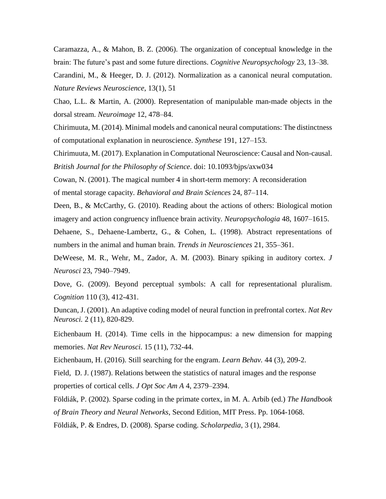Caramazza, A., & Mahon, B. Z. (2006). The organization of conceptual knowledge in the brain: The future's past and some future directions. *Cognitive Neuropsychology* 23, 13–38.

Carandini, M., & Heeger, D. J. (2012). Normalization as a canonical neural computation. *Nature Reviews Neuroscience*, 13(1), 51

Chao, L.L. & Martin, A. (2000). Representation of manipulable man-made objects in the dorsal stream. *Neuroimage* 12, 478–84.

Chirimuuta, M. (2014). Minimal models and canonical neural computations: The distinctness of computational explanation in neuroscience. *Synthese* 191, 127–153.

Chirimuuta, M. (2017). Explanation in Computational Neuroscience: Causal and Non-causal. *British Journal for the Philosophy of Science*. doi: 10.1093/bjps/axw034

Cowan, N. (2001). The magical number 4 in short-term memory: A reconsideration of mental storage capacity. *Behavioral and Brain Sciences* 24, 87–114.

Deen, B., & McCarthy, G. (2010). Reading about the actions of others: Biological motion imagery and action congruency influence brain activity. *Neuropsychologia* 48, 1607–1615.

Dehaene, S., Dehaene-Lambertz, G., & Cohen, L. (1998). Abstract representations of numbers in the animal and human brain. *Trends in Neurosciences* 21, 355–361.

DeWeese, M. R., Wehr, M., Zador, A. M. (2003). Binary spiking in auditory cortex. *J Neurosci* 23, 7940–7949.

Dove, G. (2009). Beyond perceptual symbols: A call for representational pluralism. *Cognition* 110 (3), 412-431.

Duncan, J. (2001). An adaptive coding model of neural function in prefrontal cortex. *Nat Rev Neurosci.* 2 (11), 820-829.

Eichenbaum H. (2014). Time cells in the hippocampus: a new dimension for mapping memories. *Nat Rev Neurosci.* 15 (11), 732-44.

Eichenbaum, H. (2016). Still searching for the engram. *Learn Behav.* 44 (3), 209-2.

Field, D. J. (1987). Relations between the statistics of natural images and the response properties of cortical cells. *J Opt Soc Am A* 4, 2379–2394.

Földiák, P. (2002). Sparse coding in the primate cortex, in M. A. Arbib (ed.) *The Handbook of Brain Theory and Neural Networks*, Second Edition, MIT Press. Pp. 1064-1068.

Földiák, P. & Endres, D. (2008). Sparse coding. *Scholarpedia*, 3 (1), 2984.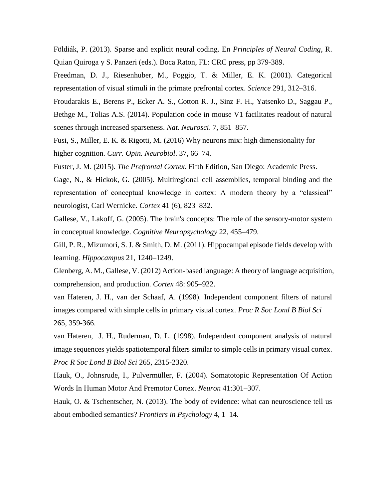Földiák, P. (2013). Sparse and explicit neural coding. En *Principles of Neural Coding*, R. Quian Quiroga y S. Panzeri (eds.). Boca Raton, FL: CRC press, pp 379-389.

Freedman, D. J., Riesenhuber, M., Poggio, T. & Miller, E. K. (2001). Categorical representation of visual stimuli in the primate prefrontal cortex. *Science* 291, 312–316.

Froudarakis E., Berens P., Ecker A. S., Cotton R. J., Sinz F. H., Yatsenko D., Saggau P., Bethge M., Tolias A.S. (2014). Population code in mouse V1 facilitates readout of natural scenes through increased sparseness. *Nat. Neurosci*. 7, 851–857.

Fusi, S., Miller, E. K. & Rigotti, M. (2016) Why neurons mix: high dimensionality for higher cognition. *Curr. Opin. Neurobiol*. 37, 66–74.

Fuster, J. M. (2015). *The Prefrontal Cortex*. Fifth Edition, San Diego: Academic Press.

Gage, N., & Hickok, G. (2005). Multiregional cell assemblies, temporal binding and the representation of conceptual knowledge in cortex: A modern theory by a "classical" neurologist, Carl Wernicke*. Cortex* 41 (6), 823–832.

Gallese, V., Lakoff, G. (2005). The brain's concepts: The role of the sensory-motor system in conceptual knowledge. *Cognitive Neuropsychology* 22, 455–479.

Gill, P. R., Mizumori, S. J. & Smith, D. M. (2011). Hippocampal episode fields develop with learning. *Hippocampus* 21, 1240–1249.

Glenberg, A. M., Gallese, V. (2012) Action-based language: A theory of language acquisition, comprehension, and production. *Cortex* 48: 905–922.

van Hateren, J. H., van der Schaaf, A. (1998). Independent component filters of natural images compared with simple cells in primary visual cortex. *Proc R Soc Lond B Biol Sci* 265, 359-366.

van Hateren, J. H., Ruderman, D. L. (1998). Independent component analysis of natural image sequences yields spatiotemporal filters similar to simple cells in primary visual cortex. *Proc R Soc Lond B Biol Sci* 265, 2315-2320.

Hauk, O., Johnsrude, I., Pulvermüller, F. (2004). Somatotopic Representation Of Action Words In Human Motor And Premotor Cortex. *Neuron* 41:301–307.

Hauk, O. & Tschentscher, N. (2013). The body of evidence: what can neuroscience tell us about embodied semantics? *Frontiers in Psychology* 4, 1–14.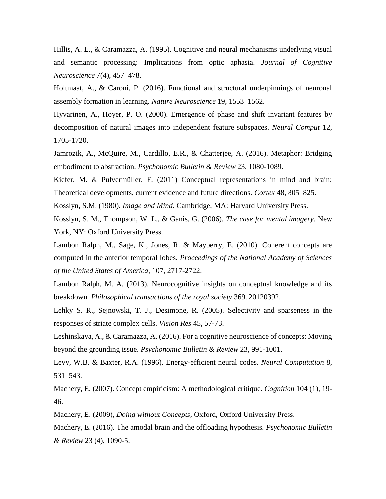Hillis, A. E., & Caramazza, A. (1995). Cognitive and neural mechanisms underlying visual and semantic processing: Implications from optic aphasia. *Journal of Cognitive Neuroscience* 7(4), 457–478.

Holtmaat, A., & Caroni, P. (2016). Functional and structural underpinnings of neuronal assembly formation in learning*. Nature Neuroscience* 19, 1553–1562.

Hyvarinen, A., Hoyer, P. O. (2000). Emergence of phase and shift invariant features by decomposition of natural images into independent feature subspaces. *Neural Comput* 12, 1705-1720.

Jamrozik, A., McQuire, M., Cardillo, E.R., & Chatterjee, A. (2016). Metaphor: Bridging embodiment to abstraction. *Psychonomic Bulletin & Review* 23, 1080-1089.

Kiefer, M. & Pulvermüller, F. (2011) Conceptual representations in mind and brain: Theoretical developments, current evidence and future directions. *Cortex* 48, 805–825.

Kosslyn, S.M. (1980). *Image and Mind*. Cambridge, MA: Harvard University Press.

Kosslyn, S. M., Thompson, W. L., & Ganis, G. (2006). *The case for mental imagery.* New York, NY: Oxford University Press.

Lambon Ralph, M., Sage, K., Jones, R. & Mayberry, E. (2010). Coherent concepts are computed in the anterior temporal lobes. *Proceedings of the National Academy of Sciences of the United States of America*, 107, 2717-2722.

Lambon Ralph, M. A. (2013). Neurocognitive insights on conceptual knowledge and its breakdown*. Philosophical transactions of the royal society* 369, 20120392.

Lehky S. R., Sejnowski, T. J., Desimone, R. (2005). Selectivity and sparseness in the responses of striate complex cells. *Vision Res* 45, 57-73.

Leshinskaya, A., & Caramazza, A. (2016). For a cognitive neuroscience of concepts: Moving beyond the grounding issue. *Psychonomic Bulletin & Review* 23, 991-1001.

Levy, W.B. & Baxter, R.A. (1996). Energy-efficient neural codes. *Neural Computation* 8, 531–543.

Machery, E. (2007). Concept empiricism: A methodological critique. *Cognition* 104 (1), 19- 46.

Machery, E. (2009), *Doing without Concepts*, Oxford, Oxford University Press.

Machery, E. (2016). The amodal brain and the offloading hypothesis*. Psychonomic Bulletin & Review* 23 (4), 1090-5.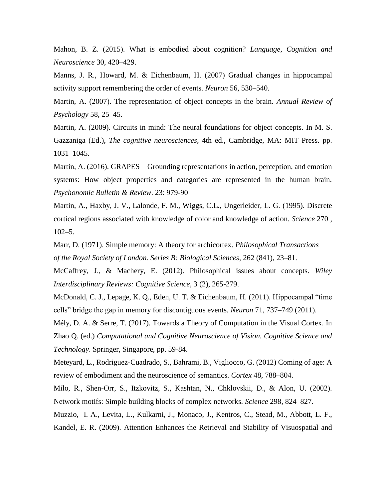Mahon, B. Z. (2015). What is embodied about cognition? *Language, Cognition and Neuroscience* 30, 420–429.

Manns, J. R., Howard, M. & Eichenbaum, H. (2007) Gradual changes in hippocampal activity support remembering the order of events. *Neuron* 56, 530–540.

Martin, A. (2007). The representation of object concepts in the brain. *Annual Review of Psychology* 58, 25–45.

Martin, A. (2009). Circuits in mind: The neural foundations for object concepts. In M. S. Gazzaniga (Ed.), *The cognitive neurosciences,* 4th ed., Cambridge, MA: MIT Press. pp. 1031–1045.

Martin, A. (2016). GRAPES—Grounding representations in action, perception, and emotion systems: How object properties and categories are represented in the human brain. *Psychonomic Bulletin & Review*. 23: 979-90

Martin, A., Haxby, J. V., Lalonde, F. M., Wiggs, C.L., Ungerleider, L. G. (1995). Discrete cortical regions associated with knowledge of color and knowledge of action. *Science* 270 , 102–5.

Marr, D. (1971). Simple memory: A theory for archicortex. *Philosophical Transactions of the Royal Society of London. Series B: Biological Sciences*, 262 (841), 23–81.

McCaffrey, J., & Machery, E. (2012). Philosophical issues about concepts. *Wiley Interdisciplinary Reviews: Cognitive Science*, 3 (2), 265-279.

McDonald, C. J., Lepage, K. Q., Eden, U. T. & Eichenbaum, H. (2011). Hippocampal "time cells" bridge the gap in memory for discontiguous events. *Neuron* 71, 737–749 (2011).

Mély, D. A. & Serre, T. (2017). Towards a Theory of Computation in the Visual Cortex. In Zhao Q. (ed.) *Computational and Cognitive Neuroscience of Vision. Cognitive Science and Technology*. Springer, Singapore, pp. 59-84.

Meteyard, L., Rodriguez-Cuadrado, S., Bahrami, B., Vigliocco, G. (2012) Coming of age: A review of embodiment and the neuroscience of semantics. *Cortex* 48, 788–804.

Milo, R., Shen-Orr, S., Itzkovitz, S., Kashtan, N., Chklovskii, D., & Alon, U. (2002). Network motifs: Simple building blocks of complex networks*. Science* 298, 824–827.

Muzzio, I. A., Levita, L., Kulkarni, J., Monaco, J., Kentros, C., Stead, M., Abbott, L. F., Kandel, E. R. (2009). Attention Enhances the Retrieval and Stability of Visuospatial and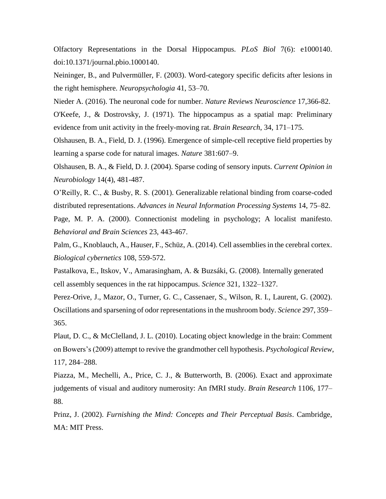Olfactory Representations in the Dorsal Hippocampus*. PLoS Biol* 7(6): e1000140. doi:10.1371/journal.pbio.1000140.

Neininger, B., and Pulvermüller, F. (2003). Word-category specific deficits after lesions in the right hemisphere. *Neuropsychologia* 41, 53–70.

Nieder A. (2016). The neuronal code for number. *Nature Reviews Neuroscience* 17,366-82.

O'Keefe, J., & Dostrovsky, J. (1971). The hippocampus as a spatial map: Preliminary evidence from unit activity in the freely-moving rat. *Brain Research*, 34, 171–175.

Olshausen, B. A., Field, D. J. (1996). Emergence of simple-cell receptive field properties by learning a sparse code for natural images. *Nature* 381:607–9.

Olshausen, B. A., & Field, D. J. (2004). Sparse coding of sensory inputs. *Current Opinion in Neurobiology* 14(4), 481-487.

O'Reilly, R. C., & Busby, R. S. (2001). Generalizable relational binding from coarse-coded distributed representations. *Advances in Neural Information Processing Systems* 14, 75–82. Page, M. P. A. (2000). Connectionist modeling in psychology; A localist manifesto. *Behavioral and Brain Sciences* 23, 443-467.

Palm, G., Knoblauch, A., Hauser, F., Schüz, A. (2014). Cell assemblies in the cerebral cortex. *Biological cybernetics* 108, 559-572.

Pastalkova, E., Itskov, V., Amarasingham, A. & Buzsáki, G. (2008). Internally generated cell assembly sequences in the rat hippocampus. *Science* 321, 1322–1327.

Perez-Orive, J., Mazor, O., Turner, G. C., Cassenaer, S., Wilson, R. I., Laurent, G. (2002). Oscillations and sparsening of odor representations in the mushroom body. *Science* 297, 359– 365.

Plaut, D. C., & McClelland, J. L. (2010). Locating object knowledge in the brain: Comment on Bowers's (2009) attempt to revive the grandmother cell hypothesis. *Psychological Review*, 117, 284–288.

Piazza, M., Mechelli, A., Price, C. J., & Butterworth, B. (2006). Exact and approximate judgements of visual and auditory numerosity: An fMRI study*. Brain Research* 1106, 177– 88.

Prinz, J. (2002). *Furnishing the Mind: Concepts and Their Perceptual Basis*. Cambridge, MA: MIT Press.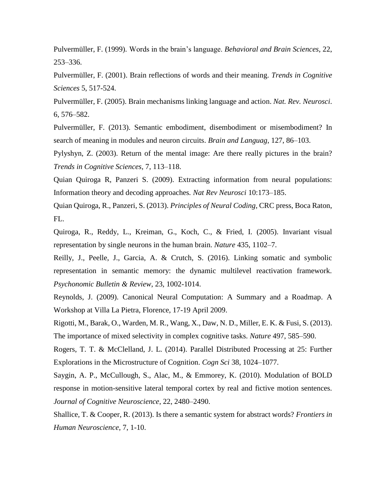Pulvermüller, F. (1999). Words in the brain's language. *Behavioral and Brain Sciences*, 22, 253–336.

Pulvermüller, F. (2001). Brain reflections of words and their meaning. *Trends in Cognitive Sciences* 5, 517-524.

Pulvermüller, F. (2005). Brain mechanisms linking language and action. *Nat. Rev. Neurosci*. 6, 576–582.

Pulvermüller, F. (2013). Semantic embodiment, disembodiment or misembodiment? In search of meaning in modules and neuron circuits. *Brain and Languag*, 127, 86–103.

Pylyshyn, Z. (2003). Return of the mental image: Are there really pictures in the brain? *Trends in Cognitive Sciences*, 7, 113–118.

Quian Quiroga R, Panzeri S. (2009). Extracting information from neural populations: Information theory and decoding approaches*. Nat Rev Neurosci* 10:173–185.

Quian Quiroga, R., Panzeri, S. (2013). *Principles of Neural Coding*, CRC press, Boca Raton, FL.

Quiroga, R., Reddy, L., Kreiman, G., Koch, C., & Fried, I. (2005). Invariant visual representation by single neurons in the human brain. *Nature* 435, 1102–7.

Reilly, J., Peelle, J., Garcia, A. & Crutch, S. (2016). Linking somatic and symbolic representation in semantic memory: the dynamic multilevel reactivation framework. *Psychonomic Bulletin & Review*, 23, 1002-1014.

Reynolds, J. (2009). Canonical Neural Computation: A Summary and a Roadmap. A Workshop at Villa La Pietra, Florence, 17-19 April 2009.

Rigotti, M., Barak, O., Warden, M. R., Wang, X., Daw, N. D., Miller, E. K. & Fusi, S. (2013). The importance of mixed selectivity in complex cognitive tasks. *Nature* 497, 585–590.

Rogers, T. T. & McClelland, J. L. (2014). Parallel Distributed Processing at 25: Further Explorations in the Microstructure of Cognition. *Cogn Sci* 38, 1024–1077.

Saygin, A. P., McCullough, S., Alac, M., & Emmorey, K. (2010). Modulation of BOLD response in motion-sensitive lateral temporal cortex by real and fictive motion sentences. *Journal of Cognitive Neuroscience*, 22, 2480–2490.

Shallice, T. & Cooper, R. (2013). Is there a semantic system for abstract words? *Frontiers in Human Neuroscience*, 7, 1-10.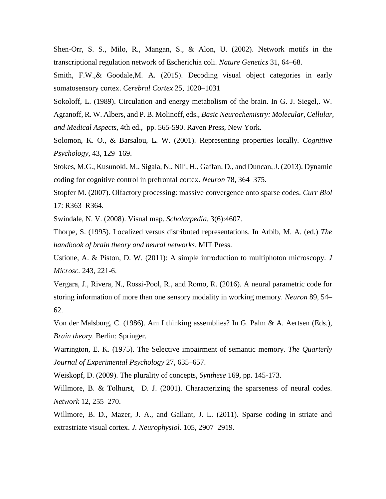Shen-Orr, S. S., Milo, R., Mangan, S., & Alon, U. (2002). Network motifs in the transcriptional regulation network of Escherichia coli. *Nature Genetics* 31, 64–68.

Smith, F.W.,& Goodale,M. A. (2015). Decoding visual object categories in early somatosensory cortex. *Cerebral Cortex* 25, 1020–1031

Sokoloff, L. (1989). Circulation and energy metabolism of the brain. In G. J. Siegel,. W. Agranoff, R. W. Albers, and P. B. Molinoff, eds., *Basic Neurochemistry: Molecular, Cellular, and Medical Aspects,* 4th ed., pp. 565-590. Raven Press, New York.

Solomon, K. O., & Barsalou, L. W. (2001). Representing properties locally*. Cognitive Psychology*, 43, 129–169.

Stokes, M.G., Kusunoki, M., Sigala, N., Nili, H., Gaffan, D., and Duncan, J. (2013). Dynamic coding for cognitive control in prefrontal cortex. *Neuron* 78, 364–375.

Stopfer M. (2007). Olfactory processing: massive convergence onto sparse codes. *Curr Biol* 17: R363–R364.

Swindale, N. V. (2008). Visual map. *Scholarpedia*, 3(6):4607.

Thorpe, S. (1995). Localized versus distributed representations. In Arbib, M. A. (ed.) *The handbook of brain theory and neural networks*. MIT Press.

Ustione, A. & Piston, D. W. (2011): A simple introduction to multiphoton microscopy. *J Microsc.* 243, 221-6.

Vergara, J., Rivera, N., Rossi-Pool, R., and Romo, R. (2016). A neural parametric code for storing information of more than one sensory modality in working memory. *Neuron* 89, 54– 62.

Von der Malsburg, C. (1986). Am I thinking assemblies? In G. Palm & A. Aertsen (Eds.), *Brain theory*. Berlin: Springer.

Warrington, E. K. (1975). The Selective impairment of semantic memory. *The Quarterly Journal of Experimental Psychology* 27, 635–657.

Weiskopf, D. (2009). The plurality of concepts, *Synthese* 169, pp. 145-173.

Willmore, B. & Tolhurst, D. J. (2001). Characterizing the sparseness of neural codes. *Network* 12, 255–270.

Willmore, B. D., Mazer, J. A., and Gallant, J. L. (2011). Sparse coding in striate and extrastriate visual cortex. *J. Neurophysiol*. 105, 2907–2919.